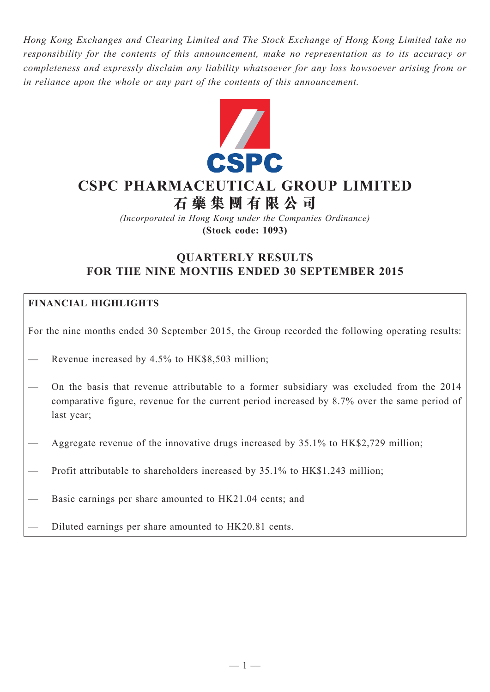*Hong Kong Exchanges and Clearing Limited and The Stock Exchange of Hong Kong Limited take no responsibility for the contents of this announcement, make no representation as to its accuracy or completeness and expressly disclaim any liability whatsoever for any loss howsoever arising from or in reliance upon the whole or any part of the contents of this announcement.*



# **CSPC Pharmaceutical Group Limited 石 藥 集 團 有 限 公 司**

*(Incorporated in Hong Kong under the Companies Ordinance)* **(Stock code: 1093)**

# **QUARTERLY RESULTS FOR THE NINE MONTHS ENDED 30 SEPTEMBER 2015**

# **Financial HIGHLIGHTS**

For the nine months ended 30 September 2015, the Group recorded the following operating results:

- Revenue increased by 4.5% to HK\$8,503 million;
- On the basis that revenue attributable to a former subsidiary was excluded from the 2014 comparative figure, revenue for the current period increased by 8.7% over the same period of last year;
- Aggregate revenue of the innovative drugs increased by 35.1% to HK\$2,729 million;
- Profit attributable to shareholders increased by 35.1% to HK\$1,243 million;
- Basic earnings per share amounted to HK21.04 cents; and
- Diluted earnings per share amounted to HK20.81 cents.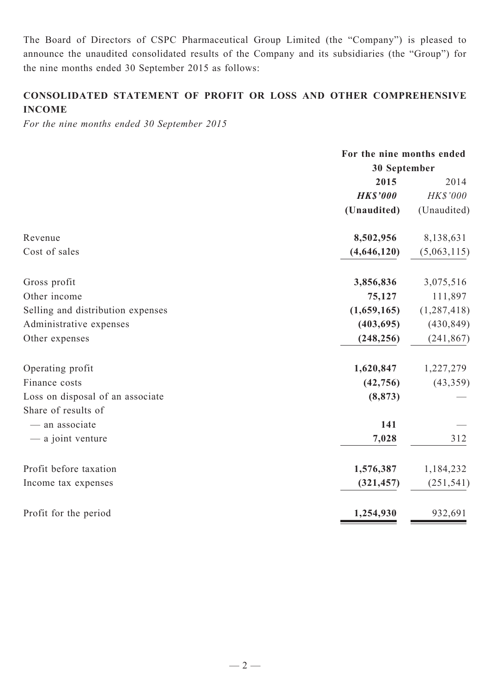The Board of Directors of CSPC Pharmaceutical Group Limited (the "Company") is pleased to announce the unaudited consolidated results of the Company and its subsidiaries (the "Group") for the nine months ended 30 September 2015 as follows:

# **CONSOLIDATED Statement of profit or loss and other comprehensive income**

*For the nine months ended 30 September 2015*

|                                   | For the nine months ended |               |  |
|-----------------------------------|---------------------------|---------------|--|
|                                   | 30 September              |               |  |
|                                   | 2015                      | 2014          |  |
|                                   | <b>HK\$'000</b>           | HK\$'000      |  |
|                                   | (Unaudited)               | (Unaudited)   |  |
| Revenue                           | 8,502,956                 | 8,138,631     |  |
| Cost of sales                     | (4,646,120)               | (5,063,115)   |  |
| Gross profit                      | 3,856,836                 | 3,075,516     |  |
| Other income                      | 75,127                    | 111,897       |  |
| Selling and distribution expenses | (1,659,165)               | (1, 287, 418) |  |
| Administrative expenses           | (403, 695)                | (430, 849)    |  |
| Other expenses                    | (248, 256)                | (241, 867)    |  |
| Operating profit                  | 1,620,847                 | 1,227,279     |  |
| Finance costs                     | (42, 756)                 | (43, 359)     |  |
| Loss on disposal of an associate  | (8, 873)                  |               |  |
| Share of results of               |                           |               |  |
| - an associate                    | 141                       |               |  |
| — a joint venture                 | 7,028                     | 312           |  |
| Profit before taxation            | 1,576,387                 | 1,184,232     |  |
| Income tax expenses               | (321, 457)                | (251, 541)    |  |
| Profit for the period             | 1,254,930                 | 932,691       |  |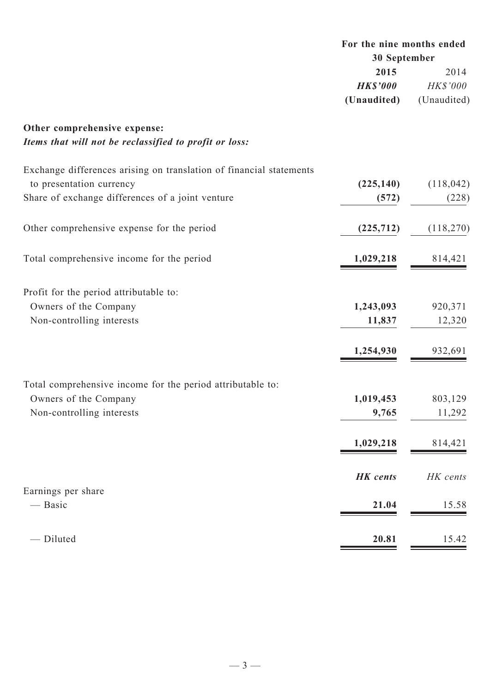|                                                                                     | For the nine months ended<br>30 September |             |  |
|-------------------------------------------------------------------------------------|-------------------------------------------|-------------|--|
|                                                                                     |                                           |             |  |
|                                                                                     | 2015                                      | 2014        |  |
|                                                                                     | <b>HK\$'000</b>                           | HK\$'000    |  |
|                                                                                     | (Unaudited)                               | (Unaudited) |  |
| Other comprehensive expense:                                                        |                                           |             |  |
| Items that will not be reclassified to profit or loss:                              |                                           |             |  |
| Exchange differences arising on translation of financial statements                 |                                           |             |  |
| to presentation currency                                                            | (225, 140)                                | (118, 042)  |  |
| Share of exchange differences of a joint venture                                    | (572)                                     | (228)       |  |
| Other comprehensive expense for the period                                          | (225, 712)                                | (118,270)   |  |
| Total comprehensive income for the period                                           | 1,029,218                                 | 814,421     |  |
|                                                                                     |                                           |             |  |
| Profit for the period attributable to:                                              |                                           |             |  |
| Owners of the Company                                                               | 1,243,093                                 | 920,371     |  |
| Non-controlling interests                                                           | 11,837                                    | 12,320      |  |
|                                                                                     | 1,254,930                                 | 932,691     |  |
|                                                                                     |                                           |             |  |
| Total comprehensive income for the period attributable to:<br>Owners of the Company | 1,019,453                                 | 803,129     |  |
| Non-controlling interests                                                           | 9,765                                     | 11,292      |  |
|                                                                                     | 1,029,218                                 | 814,421     |  |
|                                                                                     | <b>HK</b> cents                           | HK cents    |  |
| Earnings per share                                                                  |                                           |             |  |
| — Basic                                                                             | 21.04                                     | 15.58       |  |
| - Diluted                                                                           | 20.81                                     | 15.42       |  |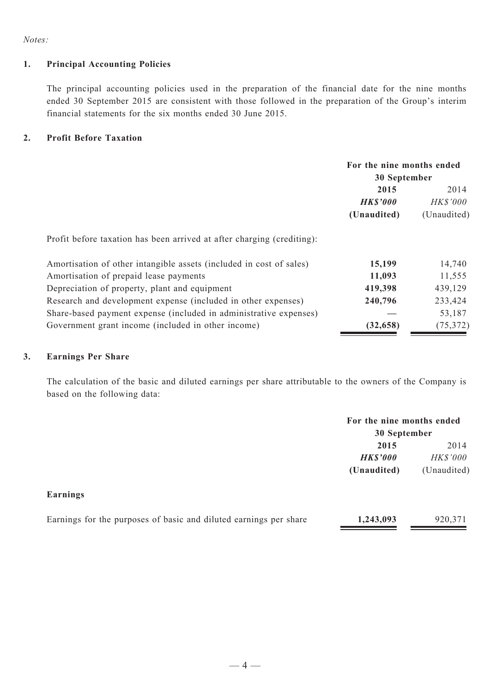*Notes:*

## **1. Principal Accounting Policies**

The principal accounting policies used in the preparation of the financial date for the nine months ended 30 September 2015 are consistent with those followed in the preparation of the Group's interim financial statements for the six months ended 30 June 2015.

## **2. Profit Before Taxation**

|                                                                        | For the nine months ended<br>30 September |                 |  |
|------------------------------------------------------------------------|-------------------------------------------|-----------------|--|
|                                                                        | 2015                                      | 2014            |  |
|                                                                        | <b>HK\$'000</b>                           | <b>HK\$'000</b> |  |
|                                                                        | (Unaudited)                               | (Unaudited)     |  |
| Profit before taxation has been arrived at after charging (crediting): |                                           |                 |  |
| Amortisation of other intangible assets (included in cost of sales)    | 15,199                                    | 14,740          |  |
| Amortisation of prepaid lease payments                                 | 11,093                                    | 11,555          |  |
| Depreciation of property, plant and equipment                          | 419,398                                   | 439,129         |  |
| Research and development expense (included in other expenses)          | 240,796                                   | 233,424         |  |
| Share-based payment expense (included in administrative expenses)      |                                           | 53,187          |  |
| Government grant income (included in other income)                     | (32, 658)                                 | (75, 372)       |  |

## **3. Earnings Per Share**

The calculation of the basic and diluted earnings per share attributable to the owners of the Company is based on the following data:

|                                                                   | For the nine months ended<br>30 September |                 |  |
|-------------------------------------------------------------------|-------------------------------------------|-----------------|--|
|                                                                   | 2015                                      | 2014            |  |
|                                                                   | <b>HK\$'000</b>                           | <b>HK\$'000</b> |  |
|                                                                   | (Unaudited)                               | (Unaudited)     |  |
| Earnings                                                          |                                           |                 |  |
| Earnings for the purposes of basic and diluted earnings per share | 1,243,093                                 | 920,371         |  |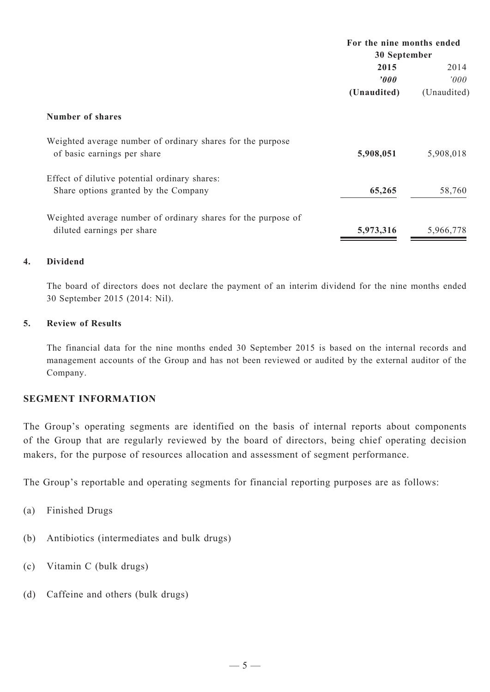|                                                                                           | For the nine months ended |             |  |
|-------------------------------------------------------------------------------------------|---------------------------|-------------|--|
|                                                                                           | 30 September              |             |  |
|                                                                                           | 2015                      | 2014        |  |
|                                                                                           | $\boldsymbol{v}$          | 000'        |  |
|                                                                                           | (Unaudited)               | (Unaudited) |  |
| Number of shares                                                                          |                           |             |  |
| Weighted average number of ordinary shares for the purpose<br>of basic earnings per share | 5,908,051                 | 5,908,018   |  |
| Effect of dilutive potential ordinary shares:                                             |                           |             |  |
| Share options granted by the Company                                                      | 65,265                    | 58,760      |  |
| Weighted average number of ordinary shares for the purpose of                             |                           |             |  |
| diluted earnings per share                                                                | 5,973,316                 | 5,966,778   |  |

# **4. Dividend**

The board of directors does not declare the payment of an interim dividend for the nine months ended 30 September 2015 (2014: Nil).

# **5. Review of Results**

The financial data for the nine months ended 30 September 2015 is based on the internal records and management accounts of the Group and has not been reviewed or audited by the external auditor of the Company.

# **SEGMENT INFORMATION**

The Group's operating segments are identified on the basis of internal reports about components of the Group that are regularly reviewed by the board of directors, being chief operating decision makers, for the purpose of resources allocation and assessment of segment performance.

The Group's reportable and operating segments for financial reporting purposes are as follows:

- (a) Finished Drugs
- (b) Antibiotics (intermediates and bulk drugs)
- (c) Vitamin C (bulk drugs)
- (d) Caffeine and others (bulk drugs)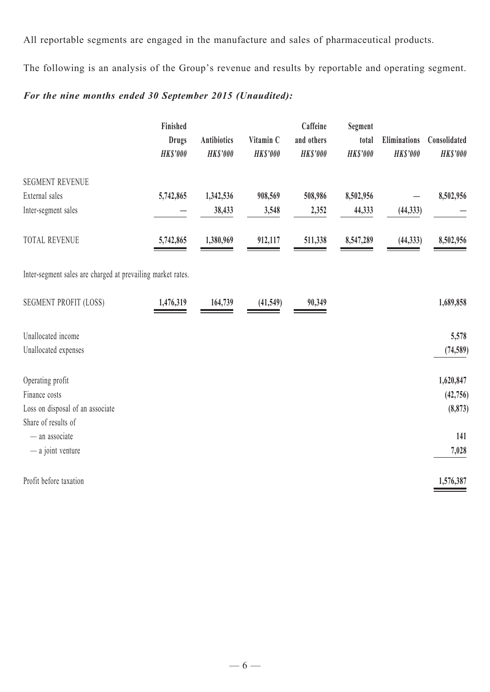All reportable segments are engaged in the manufacture and sales of pharmaceutical products.

The following is an analysis of the Group's revenue and results by reportable and operating segment.

# *For the nine months ended 30 September 2015 (Unaudited):*

|                                                             | Finished                        |                                       |                              | Caffeine                      | Segment                  |                                 |                                 |
|-------------------------------------------------------------|---------------------------------|---------------------------------------|------------------------------|-------------------------------|--------------------------|---------------------------------|---------------------------------|
|                                                             | <b>Drugs</b><br><b>HK\$'000</b> | <b>Antibiotics</b><br><b>HK\$'000</b> | Vitamin C<br><b>HK\$'000</b> | and others<br><b>HK\$'000</b> | total<br><b>HK\$'000</b> | Eliminations<br><b>HK\$'000</b> | Consolidated<br><b>HK\$'000</b> |
|                                                             |                                 |                                       |                              |                               |                          |                                 |                                 |
| <b>SEGMENT REVENUE</b>                                      |                                 |                                       |                              |                               |                          |                                 |                                 |
| External sales                                              | 5,742,865                       | 1,342,536                             | 908,569                      | 508,986                       | 8,502,956                |                                 | 8,502,956                       |
| Inter-segment sales                                         |                                 | 38,433                                | 3,548                        | 2,352                         | 44,333                   | (44, 333)                       |                                 |
| <b>TOTAL REVENUE</b>                                        | 5,742,865                       | 1,380,969                             | 912,117                      | 511,338                       | 8,547,289                | (44, 333)                       | 8,502,956                       |
| Inter-segment sales are charged at prevailing market rates. |                                 |                                       |                              |                               |                          |                                 |                                 |
| <b>SEGMENT PROFIT (LOSS)</b>                                | 1,476,319                       | 164,739                               | (41,549)                     | 90,349                        |                          |                                 | 1,689,858                       |
| Unallocated income                                          |                                 |                                       |                              |                               |                          |                                 | 5,578                           |
| Unallocated expenses                                        |                                 |                                       |                              |                               |                          |                                 | (74, 589)                       |
| Operating profit                                            |                                 |                                       |                              |                               |                          |                                 | 1,620,847                       |
| Finance costs                                               |                                 |                                       |                              |                               |                          |                                 | (42, 756)                       |
| Loss on disposal of an associate                            |                                 |                                       |                              |                               |                          |                                 | (8, 873)                        |
| Share of results of                                         |                                 |                                       |                              |                               |                          |                                 |                                 |
| - an associate                                              |                                 |                                       |                              |                               |                          |                                 | 141                             |
| - a joint venture                                           |                                 |                                       |                              |                               |                          |                                 | 7,028                           |
| Profit before taxation                                      |                                 |                                       |                              |                               |                          |                                 | 1,576,387                       |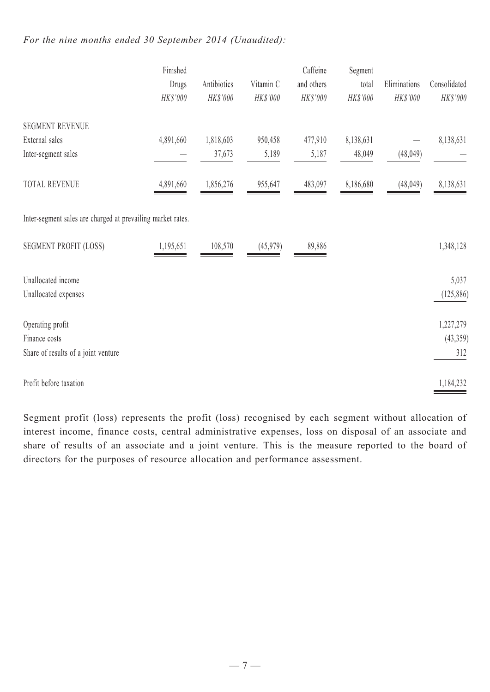# *For the nine months ended 30 September 2014 (Unaudited):*

|                                                             | Finished<br>Drugs<br>HK\$'000 | Antibiotics<br>HK\$'000 | Vitamin C<br>HK\$'000 | Caffeine<br>and others<br>HK\$'000 | Segment<br>total<br>HK\$'000 | Eliminations<br>HK\$'000 | Consolidated<br>HK\$'000 |
|-------------------------------------------------------------|-------------------------------|-------------------------|-----------------------|------------------------------------|------------------------------|--------------------------|--------------------------|
| <b>SEGMENT REVENUE</b>                                      |                               |                         |                       |                                    |                              |                          |                          |
| External sales                                              | 4,891,660                     | 1,818,603               | 950,458               | 477,910                            | 8,138,631                    |                          | 8,138,631                |
| Inter-segment sales                                         |                               | 37,673                  | 5,189                 | 5,187                              | 48,049                       | (48,049)                 |                          |
| <b>TOTAL REVENUE</b>                                        | 4,891,660                     | 1,856,276               | 955,647               | 483,097                            | 8,186,680                    | (48,049)                 | 8,138,631                |
| Inter-segment sales are charged at prevailing market rates. |                               |                         |                       |                                    |                              |                          |                          |
| <b>SEGMENT PROFIT (LOSS)</b>                                | 1,195,651                     | 108,570                 | (45,979)              | 89,886                             |                              |                          | 1,348,128                |
| Unallocated income                                          |                               |                         |                       |                                    |                              |                          | 5,037                    |
| Unallocated expenses                                        |                               |                         |                       |                                    |                              |                          | (125, 886)               |
| Operating profit                                            |                               |                         |                       |                                    |                              |                          | 1,227,279                |
| Finance costs                                               |                               |                         |                       |                                    |                              |                          | (43,359)                 |
| Share of results of a joint venture                         |                               |                         |                       |                                    |                              |                          | 312                      |
| Profit before taxation                                      |                               |                         |                       |                                    |                              |                          | 1,184,232                |

Segment profit (loss) represents the profit (loss) recognised by each segment without allocation of interest income, finance costs, central administrative expenses, loss on disposal of an associate and share of results of an associate and a joint venture. This is the measure reported to the board of directors for the purposes of resource allocation and performance assessment.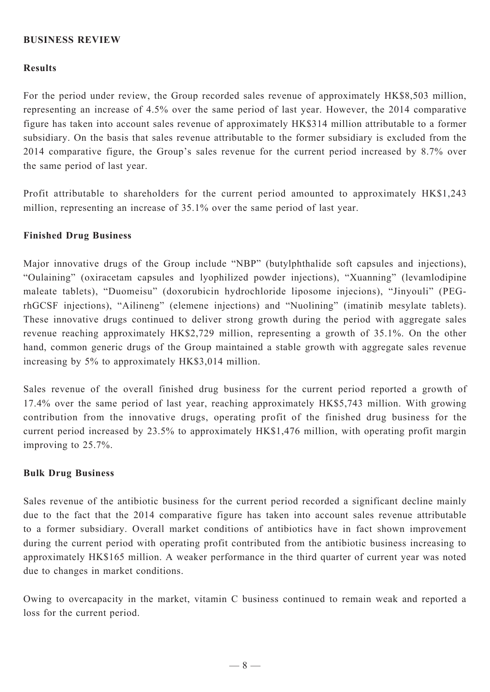# **BUSINESS REVIEW**

## **Results**

For the period under review, the Group recorded sales revenue of approximately HK\$8,503 million, representing an increase of 4.5% over the same period of last year. However, the 2014 comparative figure has taken into account sales revenue of approximately HK\$314 million attributable to a former subsidiary. On the basis that sales revenue attributable to the former subsidiary is excluded from the 2014 comparative figure, the Group's sales revenue for the current period increased by 8.7% over the same period of last year.

Profit attributable to shareholders for the current period amounted to approximately HK\$1,243 million, representing an increase of 35.1% over the same period of last year.

#### **Finished Drug Business**

Major innovative drugs of the Group include "NBP" (butylphthalide soft capsules and injections), "Oulaining" (oxiracetam capsules and lyophilized powder injections), "Xuanning" (levamlodipine maleate tablets), "Duomeisu" (doxorubicin hydrochloride liposome injecions), "Jinyouli" (PEGrhGCSF injections), "Ailineng" (elemene injections) and "Nuolining" (imatinib mesylate tablets). These innovative drugs continued to deliver strong growth during the period with aggregate sales revenue reaching approximately HK\$2,729 million, representing a growth of 35.1%. On the other hand, common generic drugs of the Group maintained a stable growth with aggregate sales revenue increasing by 5% to approximately HK\$3,014 million.

Sales revenue of the overall finished drug business for the current period reported a growth of 17.4% over the same period of last year, reaching approximately HK\$5,743 million. With growing contribution from the innovative drugs, operating profit of the finished drug business for the current period increased by 23.5% to approximately HK\$1,476 million, with operating profit margin improving to 25.7%.

## **Bulk Drug Business**

Sales revenue of the antibiotic business for the current period recorded a significant decline mainly due to the fact that the 2014 comparative figure has taken into account sales revenue attributable to a former subsidiary. Overall market conditions of antibiotics have in fact shown improvement during the current period with operating profit contributed from the antibiotic business increasing to approximately HK\$165 million. A weaker performance in the third quarter of current year was noted due to changes in market conditions.

Owing to overcapacity in the market, vitamin C business continued to remain weak and reported a loss for the current period.